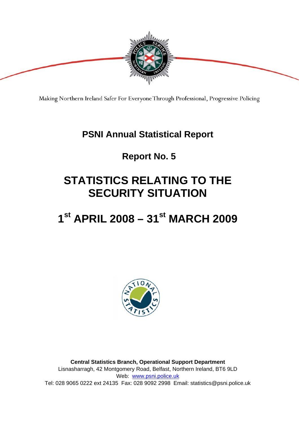

Making Northern Ireland Safer For Everyone Through Professional, Progressive Policing

### **PSNI Annual Statistical Report**

## **Report No. 5**

## **STATISTICS RELATING TO THE SECURITY SITUATION**

## **1st APRIL 2008 – 31st MARCH 2009**



**Central Statistics Branch, Operational Support Department**  Lisnasharragh, 42 Montgomery Road, Belfast, Northern Ireland, BT6 9LD Web: www.psni.police.uk Tel: 028 9065 0222 ext 24135 Fax: 028 9092 2998 Email: statistics@psni.police.uk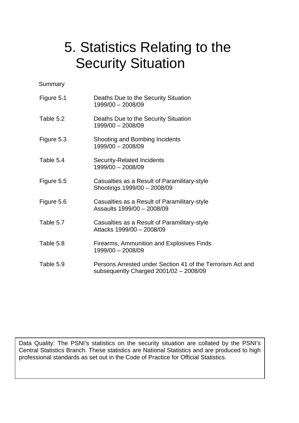# 5. Statistics Relating to the Security Situation

**Summary** 

| Figure 5.1 | Deaths Due to the Security Situation<br>1999/00 - 2008/09                                            |
|------------|------------------------------------------------------------------------------------------------------|
| Table 5.2  | Deaths Due to the Security Situation<br>1999/00 - 2008/09                                            |
| Figure 5.3 | Shooting and Bombing Incidents<br>1999/00 - 2008/09                                                  |
| Table 5.4  | <b>Security-Related Incidents</b><br>1999/00 - 2008/09                                               |
| Figure 5.5 | Casualties as a Result of Paramilitary-style<br>Shootings 1999/00 - 2008/09                          |
| Figure 5.6 | Casualties as a Result of Paramilitary-style<br>Assaults 1999/00 - 2008/09                           |
| Table 5.7  | Casualties as a Result of Paramilitary-style<br>Attacks 1999/00 - 2008/09                            |
| Table 5.8  | Firearms, Ammunition and Explosives Finds<br>1999/00 - 2008/09                                       |
| Table 5.9  | Persons Arrested under Section 41 of the Terrorism Act and<br>subsequently Charged 2001/02 - 2008/09 |

Data Quality: The PSNI's statistics on the security situation are collated by the PSNI's Central Statistics Branch. These statistics are National Statistics and are produced to high professional standards as set out in the Code of Practice for Official Statistics.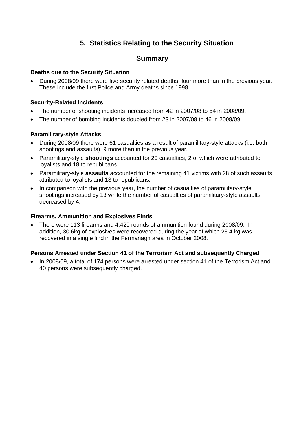#### **5. Statistics Relating to the Security Situation**

#### **Summary**

#### **Deaths due to the Security Situation**

• During 2008/09 there were five security related deaths, four more than in the previous year. These include the first Police and Army deaths since 1998.

#### **Security-Related Incidents**

- The number of shooting incidents increased from 42 in 2007/08 to 54 in 2008/09.
- The number of bombing incidents doubled from 23 in 2007/08 to 46 in 2008/09.

#### **Paramilitary-style Attacks**

- During 2008/09 there were 61 casualties as a result of paramilitary-style attacks (i.e. both shootings and assaults), 9 more than in the previous year.
- Paramilitary-style **shootings** accounted for 20 casualties, 2 of which were attributed to loyalists and 18 to republicans.
- Paramilitary-style **assaults** accounted for the remaining 41 victims with 28 of such assaults attributed to loyalists and 13 to republicans.
- In comparison with the previous year, the number of casualties of paramilitary-style shootings increased by 13 while the number of casualties of paramilitary-style assaults decreased by 4.

#### **Firearms, Ammunition and Explosives Finds**

• There were 113 firearms and 4,420 rounds of ammunition found during 2008/09. In addition, 30.6kg of explosives were recovered during the year of which 25.4 kg was recovered in a single find in the Fermanagh area in October 2008.

#### **Persons Arrested under Section 41 of the Terrorism Act and subsequently Charged**

• In 2008/09, a total of 174 persons were arrested under section 41 of the Terrorism Act and 40 persons were subsequently charged.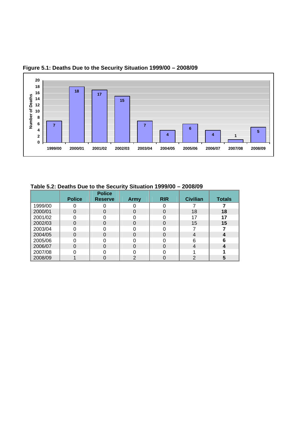

#### **Figure 5.1: Deaths Due to the Security Situation 1999/00 – 2008/09**

| Table 5.2: Deaths Due to the Security Situation 1999/00 - 2008/09 |  |
|-------------------------------------------------------------------|--|
|-------------------------------------------------------------------|--|

|         |               | <b>Police</b>  |      |            |                 |               |
|---------|---------------|----------------|------|------------|-----------------|---------------|
|         | <b>Police</b> | <b>Reserve</b> | Army | <b>RIR</b> | <b>Civilian</b> | <b>Totals</b> |
| 1999/00 |               |                |      |            |                 |               |
| 2000/01 |               | 0              |      | O          | 18              | 18            |
| 2001/02 |               |                |      |            | 17              | 17            |
| 2002/03 |               | $\Omega$       |      | 0          | 15              | 15            |
| 2003/04 |               |                |      |            |                 |               |
| 2004/05 |               | 0              |      |            | 4               |               |
| 2005/06 |               |                |      |            | 6               | 6             |
| 2006/07 |               | $\Omega$       |      |            | 4               |               |
| 2007/08 |               |                |      |            |                 |               |
| 2008/09 |               |                | ⌒    |            | っ               |               |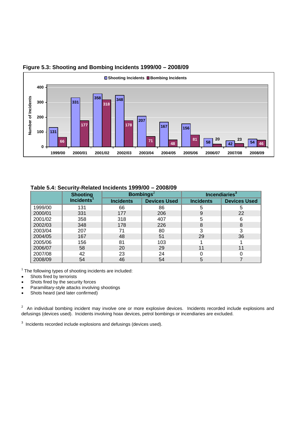

#### **Figure 5.3: Shooting and Bombing Incidents 1999/00 – 2008/09**

#### **Table 5.4: Security-Related Incidents 1999/00 – 2008/09**

|         | <b>Shooting</b>        |                  | <b>Bombings</b> <sup>2</sup> | Incendiaries <sup>3</sup> |                     |  |
|---------|------------------------|------------------|------------------------------|---------------------------|---------------------|--|
|         | Incidents <sup>1</sup> | <b>Incidents</b> | <b>Devices Used</b>          | <b>Incidents</b>          | <b>Devices Used</b> |  |
| 1999/00 | 131                    | 66               | 86                           | 5                         | 5                   |  |
| 2000/01 | 331                    | 177              | 206                          | 9                         | 22                  |  |
| 2001/02 | 358                    | 318              | 407                          | 5                         | 6                   |  |
| 2002/03 | 348                    | 178              | 226                          | 8                         | 8                   |  |
| 2003/04 | 207                    | 71               | 80                           | 3                         | 3                   |  |
| 2004/05 | 167                    | 48               | 51                           | 29                        | 36                  |  |
| 2005/06 | 156                    | 81               | 103                          |                           |                     |  |
| 2006/07 | 58                     | 20               | 29                           | 11                        | 11                  |  |
| 2007/08 | 42                     | 23               | 24                           |                           |                     |  |
| 2008/09 | 54                     | 46               | 54                           | 5                         |                     |  |

 $1$  The following types of shooting incidents are included:

- Shots fired by terrorists
- Shots fired by the security forces
- Paramilitary-style attacks involving shootings
- Shots heard (and later confirmed)

 $2$  An individual bombing incident may involve one or more explosive devices. Incidents recorded include explosions and defusings (devices used). Incidents involving hoax devices, petrol bombings or incendiaries are excluded.

 $3$  Incidents recorded include explosions and defusings (devices used).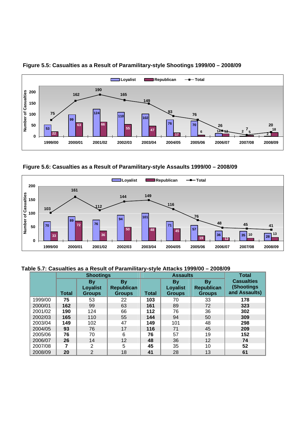

#### **Figure 5.5: Casualties as a Result of Paramilitary-style Shootings 1999/00 – 2008/09**

 **Figure 5.6: Casualties as a Result of Paramilitary-style Assaults 1999/00 – 2008/09** 



#### **Table 5.7: Casualties as a Result of Paramilitary-style Attacks 1999/00 – 2008/09**

|         | <b>Shootings</b> |                                               |                                                 |              | <b>Assaults</b>                        | <b>Total</b>                                    |                                                  |
|---------|------------------|-----------------------------------------------|-------------------------------------------------|--------------|----------------------------------------|-------------------------------------------------|--------------------------------------------------|
|         | <b>Total</b>     | <b>By</b><br><b>Loyalist</b><br><b>Groups</b> | <b>By</b><br><b>Republican</b><br><b>Groups</b> | <b>Total</b> | By<br><b>Loyalist</b><br><b>Groups</b> | <b>By</b><br><b>Republican</b><br><b>Groups</b> | <b>Casualties</b><br>(Shootings<br>and Assaults) |
| 1999/00 | 75               | 53                                            | 22                                              | 103          | 70                                     | 33                                              | 178                                              |
| 2000/01 | 162              | 99                                            | 63                                              | 161          | 89                                     | 72                                              | 323                                              |
| 2001/02 | 190              | 124                                           | 66                                              | 112          | 76                                     | 36                                              | 302                                              |
| 2002/03 | 165              | 110                                           | 55                                              | 144          | 94                                     | 50                                              | 309                                              |
| 2003/04 | 149              | 102                                           | 47                                              | 149          | 101                                    | 48                                              | 298                                              |
| 2004/05 | 93               | 76                                            | 17                                              | 116          | 71                                     | 45                                              | 209                                              |
| 2005/06 | 76               | 70                                            | 6                                               | 76           | 57                                     | 19                                              | 152                                              |
| 2006/07 | 26               | 14                                            | 12                                              | 48           | 36                                     | 12                                              | 74                                               |
| 2007/08 |                  | $\overline{2}$                                | 5                                               | 45           | 35                                     | 10                                              | 52                                               |
| 2008/09 | 20               | $\overline{2}$                                | 18                                              | 41           | 28                                     | 13                                              | 61                                               |